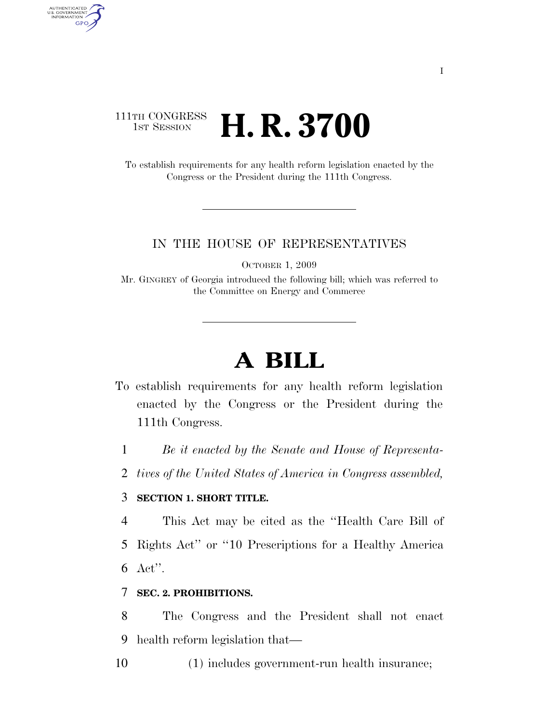## 111TH CONGRESS **1ST SESSION H. R. 3700**

AUTHENTICATED<br>U.S. GOVERNMENT<br>INFORMATION

**GPO** 

To establish requirements for any health reform legislation enacted by the Congress or the President during the 111th Congress.

#### IN THE HOUSE OF REPRESENTATIVES

OCTOBER 1, 2009

Mr. GINGREY of Georgia introduced the following bill; which was referred to the Committee on Energy and Commerce

# **A BILL**

- To establish requirements for any health reform legislation enacted by the Congress or the President during the 111th Congress.
	- 1 *Be it enacted by the Senate and House of Representa-*
	- 2 *tives of the United States of America in Congress assembled,*

### 3 **SECTION 1. SHORT TITLE.**

4 This Act may be cited as the ''Health Care Bill of 5 Rights Act'' or ''10 Prescriptions for a Healthy America 6 Act''.

### 7 **SEC. 2. PROHIBITIONS.**

8 The Congress and the President shall not enact 9 health reform legislation that—

10 (1) includes government-run health insurance;